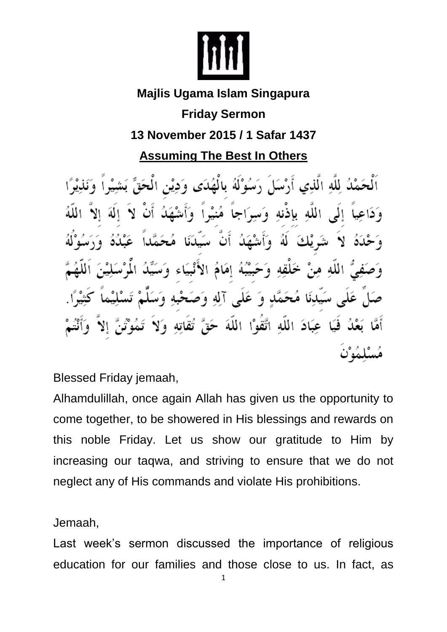

## **Majlis Ugama Islam Singapura**

**Friday Sermon**

## **13 November 2015 / 1 Safar 1437**

**Assuming The Best In Others**

اَلْحَمْدُ لِلَّهِ الَّذِي أَرْسَا َ رَسُوْلَهُ بِالْهُدَى وَدِيْنِ الْعَ الله باذنه بَيْبُهُ إِمَامُ الأَنْبِيَاء الله وَ عَلَى آلِهِ وَص عِبَادَ اللَّهِ اتَّقَوْا اللَّهَ حَقَّ فئا

Blessed Friday jemaah,

Alhamdulillah, once again Allah has given us the opportunity to come together, to be showered in His blessings and rewards on this noble Friday. Let us show our gratitude to Him by increasing our taqwa, and striving to ensure that we do not neglect any of His commands and violate His prohibitions.

Jemaah,

Last week's sermon discussed the importance of religious education for our families and those close to us. In fact, as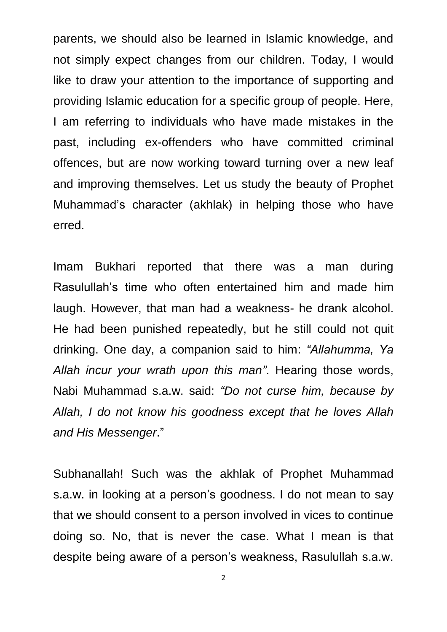parents, we should also be learned in Islamic knowledge, and not simply expect changes from our children. Today, I would like to draw your attention to the importance of supporting and providing Islamic education for a specific group of people. Here, I am referring to individuals who have made mistakes in the past, including ex-offenders who have committed criminal offences, but are now working toward turning over a new leaf and improving themselves. Let us study the beauty of Prophet Muhammad's character (akhlak) in helping those who have erred.

Imam Bukhari reported that there was a man during Rasulullah's time who often entertained him and made him laugh. However, that man had a weakness- he drank alcohol. He had been punished repeatedly, but he still could not quit drinking. One day, a companion said to him: *"Allahumma, Ya Allah incur your wrath upon this man"*. Hearing those words, Nabi Muhammad s.a.w. said: *"Do not curse him, because by Allah, I do not know his goodness except that he loves Allah and His Messenger*."

Subhanallah! Such was the akhlak of Prophet Muhammad s.a.w. in looking at a person's goodness. I do not mean to say that we should consent to a person involved in vices to continue doing so. No, that is never the case. What I mean is that despite being aware of a person's weakness, Rasulullah s.a.w.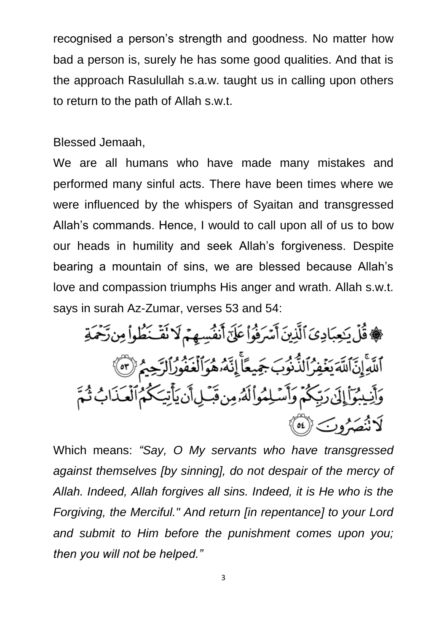recognised a person's strength and goodness. No matter how bad a person is, surely he has some good qualities. And that is the approach Rasulullah s.a.w. taught us in calling upon others to return to the path of Allah s.w.t.

Blessed Jemaah,

We are all humans who have made many mistakes and performed many sinful acts. There have been times where we were influenced by the whispers of Syaitan and transgressed Allah's commands. Hence, I would to call upon all of us to bow our heads in humility and seek Allah's forgiveness. Despite bearing a mountain of sins, we are blessed because Allah's love and compassion triumphs His anger and wrath. Allah s.w.t. says in surah Az-Zumar, verses 53 and 54:

، فَقَلْ يَحِبَادِيَ ٱلَّذِينَ أَسْرَفُواْ عَلَىٰٓ أَنفُسِهِمْ لَا نَقَّ خُلُواْ مِن رَّحْمَةِ اللَّهِ إِنَّ اللَّهَ يَغۡفِرُ ٱلذُّنُوبَ جَمِيعًاۚ إِنَّهُۥهُوَالۡغَفُورُ ٱلرَّحِيمُ (٣) وَأَنِيبُوٓأَإِلَىٰ رَبِّكُمۡ وَأَسۡلِمُواْلَهُۥمِن قَبۡلِأَنۡ يَأۡتِيَكُمُ ٱلۡعَذَابُ ثُمَّ لَاثْنَصَيْرُوبَ (٥٤)

Which means: *"Say, O My servants who have transgressed against themselves [by sinning], do not despair of the mercy of Allah. Indeed, Allah forgives all sins. Indeed, it is He who is the Forgiving, the Merciful." And return [in repentance] to your Lord and submit to Him before the punishment comes upon you; then you will not be helped."*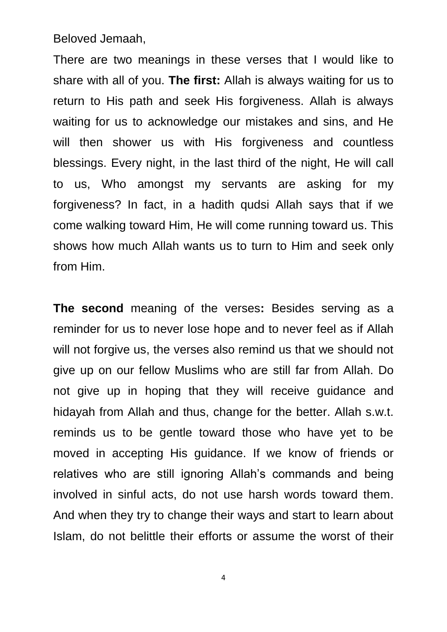Beloved Jemaah,

There are two meanings in these verses that I would like to share with all of you. **The first:** Allah is always waiting for us to return to His path and seek His forgiveness. Allah is always waiting for us to acknowledge our mistakes and sins, and He will then shower us with His forgiveness and countless blessings. Every night, in the last third of the night, He will call to us, Who amongst my servants are asking for my forgiveness? In fact, in a hadith qudsi Allah says that if we come walking toward Him, He will come running toward us. This shows how much Allah wants us to turn to Him and seek only from Him.

**The second** meaning of the verses**:** Besides serving as a reminder for us to never lose hope and to never feel as if Allah will not forgive us, the verses also remind us that we should not give up on our fellow Muslims who are still far from Allah. Do not give up in hoping that they will receive guidance and hidayah from Allah and thus, change for the better. Allah s.w.t. reminds us to be gentle toward those who have yet to be moved in accepting His guidance. If we know of friends or relatives who are still ignoring Allah's commands and being involved in sinful acts, do not use harsh words toward them. And when they try to change their ways and start to learn about Islam, do not belittle their efforts or assume the worst of their

4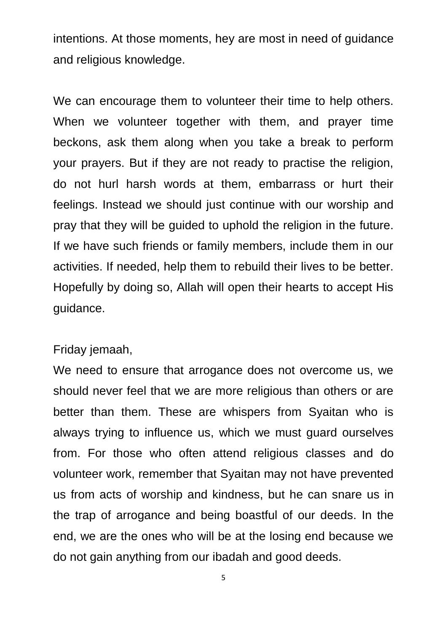intentions. At those moments, hey are most in need of guidance and religious knowledge.

We can encourage them to volunteer their time to help others. When we volunteer together with them, and prayer time beckons, ask them along when you take a break to perform your prayers. But if they are not ready to practise the religion, do not hurl harsh words at them, embarrass or hurt their feelings. Instead we should just continue with our worship and pray that they will be guided to uphold the religion in the future. If we have such friends or family members, include them in our activities. If needed, help them to rebuild their lives to be better. Hopefully by doing so, Allah will open their hearts to accept His guidance.

## Friday jemaah,

We need to ensure that arrogance does not overcome us, we should never feel that we are more religious than others or are better than them. These are whispers from Syaitan who is always trying to influence us, which we must guard ourselves from. For those who often attend religious classes and do volunteer work, remember that Syaitan may not have prevented us from acts of worship and kindness, but he can snare us in the trap of arrogance and being boastful of our deeds. In the end, we are the ones who will be at the losing end because we do not gain anything from our ibadah and good deeds.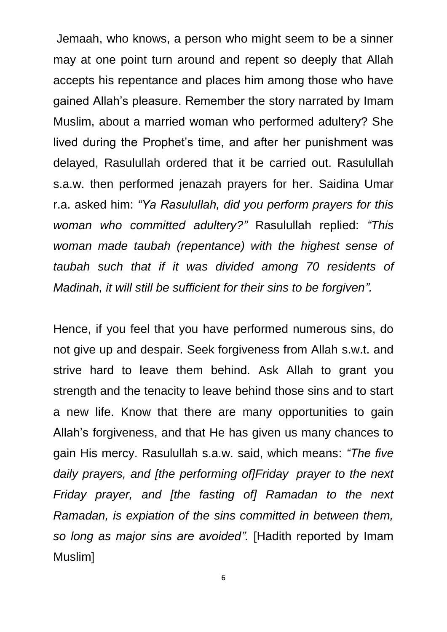Jemaah, who knows, a person who might seem to be a sinner may at one point turn around and repent so deeply that Allah accepts his repentance and places him among those who have gained Allah's pleasure. Remember the story narrated by Imam Muslim, about a married woman who performed adultery? She lived during the Prophet's time, and after her punishment was delayed, Rasulullah ordered that it be carried out. Rasulullah s.a.w. then performed jenazah prayers for her. Saidina Umar r.a. asked him: *"Ya Rasulullah, did you perform prayers for this woman who committed adultery?"* Rasulullah replied: *"This woman made taubah (repentance) with the highest sense of taubah such that if it was divided among 70 residents of Madinah, it will still be sufficient for their sins to be forgiven".*

Hence, if you feel that you have performed numerous sins, do not give up and despair. Seek forgiveness from Allah s.w.t. and strive hard to leave them behind. Ask Allah to grant you strength and the tenacity to leave behind those sins and to start a new life. Know that there are many opportunities to gain Allah's forgiveness, and that He has given us many chances to gain His mercy. Rasulullah s.a.w. said, which means: *"The five daily prayers, and [the performing of]Friday prayer to the next Friday prayer, and [the fasting of] Ramadan to the next Ramadan, is expiation of the sins committed in between them, so long as major sins are avoided".* [Hadith reported by Imam Muslim]